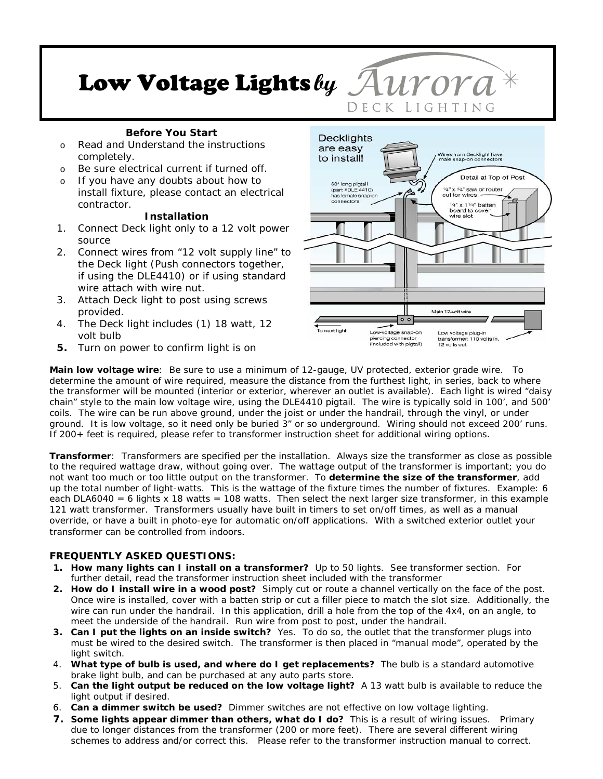# Low Voltage Lights **by**

## **Before You Start**

- o Read and Understand the instructions completely.
- o Be sure electrical current if turned off.
- o If you have any doubts about how to install fixture, please contact an electrical contractor.

#### **Installation**

- 1. Connect Deck light only to a 12 volt power source
- 2. Connect wires from "12 volt supply line" to the Deck light (Push connectors together, if using the DLE4410) or if using standard wire attach with wire nut.
- 3. Attach Deck light to post using screws provided.
- 4. The Deck light includes (1) 18 watt, 12 volt bulb
- **5.** Turn on power to confirm light is on



DECK LIGHTING

**Main low voltage wire**: Be sure to use a minimum of 12-gauge, UV protected, exterior grade wire. To determine the amount of wire required, measure the distance from the furthest light, in series, back to where the transformer will be mounted (interior or exterior, wherever an outlet is available). Each light is wired "daisy chain" style to the main low voltage wire, using the DLE4410 pigtail. The wire is typically sold in 100', and 500' coils. The wire can be run above ground, under the joist or under the handrail, through the vinyl, or under ground. It is low voltage, so it need only be buried 3" or so underground. Wiring should not exceed 200' runs. If 200+ feet is required, please refer to transformer instruction sheet for additional wiring options.

**Transformer**: Transformers are specified per the installation. Always size the transformer as close as possible to the required wattage draw, without going over. The wattage output of the transformer is important; you do not want too much or too little output on the transformer. To **determine the size of the transformer**, add up the total number of light-watts. This is the wattage of the fixture times the number of fixtures. Example: 6 each DLA6040 = 6 lights  $x$  18 watts = 108 watts. Then select the next larger size transformer, in this example 121 watt transformer. Transformers usually have built in timers to set on/off times, as well as a manual override, or have a built in photo-eye for automatic on/off applications. With a switched exterior outlet your transformer can be controlled from indoors.

## **FREQUENTLY ASKED QUESTIONS:**

- **1. How many lights can I install on a transformer?** Up to 50 lights. See transformer section. For further detail, read the transformer instruction sheet included with the transformer
- **2. How do I install wire in a wood post?** Simply cut or route a channel vertically on the face of the post. Once wire is installed, cover with a batten strip or cut a filler piece to match the slot size. Additionally, the wire can run under the handrail. In this application, drill a hole from the top of the 4x4, on an angle, to meet the underside of the handrail. Run wire from post to post, under the handrail.
- **3. Can I put the lights on an inside switch?** Yes. To do so, the outlet that the transformer plugs into must be wired to the desired switch. The transformer is then placed in "manual mode", operated by the light switch.
- 4. **What type of bulb is used, and where do I get replacements?** The bulb is a standard automotive brake light bulb, and can be purchased at any auto parts store.
- 5. **Can the light output be reduced on the low voltage light?** A 13 watt bulb is available to reduce the light output if desired.
- 6. **Can a dimmer switch be used?** Dimmer switches are not effective on low voltage lighting.
- **7. Some lights appear dimmer than others, what do I do?** This is a result of wiring issues. Primary due to longer distances from the transformer (200 or more feet). There are several different wiring schemes to address and/or correct this. Please refer to the transformer instruction manual to correct.